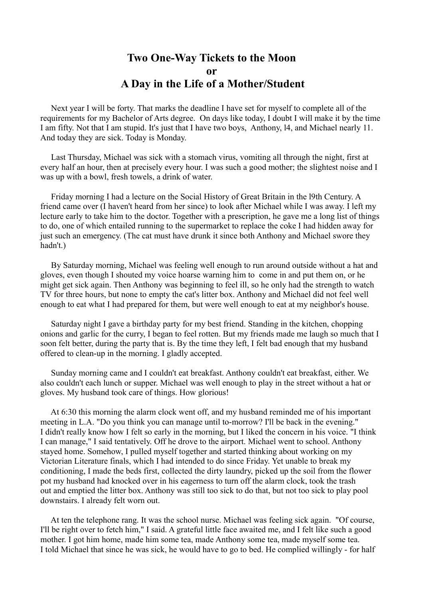## **Two One-Way Tickets to the Moon or A Day in the Life of a Mother/Student**

 Next year I will be forty. That marks the deadline I have set for myself to complete all of the requirements for my Bachelor of Arts degree. On days like today, I doubt I will make it by the time I am fifty. Not that I am stupid. It's just that I have two boys, Anthony, l4, and Michael nearly 11. And today they are sick. Today is Monday.

 Last Thursday, Michael was sick with a stomach virus, vomiting all through the night, first at every half an hour, then at precisely every hour. I was such a good mother; the slightest noise and I was up with a bowl, fresh towels, a drink of water.

 Friday morning I had a lecture on the Social History of Great Britain in the l9th Century. A friend came over (I haven't heard from her since) to look after Michael while I was away. I left my lecture early to take him to the doctor. Together with a prescription, he gave me a long list of things to do, one of which entailed running to the supermarket to replace the coke I had hidden away for just such an emergency. (The cat must have drunk it since both Anthony and Michael swore they hadn't.)

 By Saturday morning, Michael was feeling well enough to run around outside without a hat and gloves, even though I shouted my voice hoarse warning him to come in and put them on, or he might get sick again. Then Anthony was beginning to feel ill, so he only had the strength to watch TV for three hours, but none to empty the cat's litter box. Anthony and Michael did not feel well enough to eat what I had prepared for them, but were well enough to eat at my neighbor's house.

 Saturday night I gave a birthday party for my best friend. Standing in the kitchen, chopping onions and garlic for the curry, I began to feel rotten. But my friends made me laugh so much that I soon felt better, during the party that is. By the time they left, I felt bad enough that my husband offered to clean-up in the morning. I gladly accepted.

 Sunday morning came and I couldn't eat breakfast. Anthony couldn't eat breakfast, either. We also couldn't each lunch or supper. Michael was well enough to play in the street without a hat or gloves. My husband took care of things. How glorious!

 At 6:30 this morning the alarm clock went off, and my husband reminded me of his important meeting in L.A. "Do you think you can manage until to-morrow? I'll be back in the evening." I didn't really know how I felt so early in the morning, but I liked the concern in his voice. "I think I can manage," I said tentatively. Off he drove to the airport. Michael went to school. Anthony stayed home. Somehow, I pulled myself together and started thinking about working on my Victorian Literature finals, which I had intended to do since Friday. Yet unable to break my conditioning, I made the beds first, collected the dirty laundry, picked up the soil from the flower pot my husband had knocked over in his eagerness to turn off the alarm clock, took the trash out and emptied the litter box. Anthony was still too sick to do that, but not too sick to play pool downstairs. I already felt worn out.

 At ten the telephone rang. It was the school nurse. Michael was feeling sick again. "Of course, I'll be right over to fetch him," I said. A grateful little face awaited me, and I felt like such a good mother. I got him home, made him some tea, made Anthony some tea, made myself some tea. I told Michael that since he was sick, he would have to go to bed. He complied willingly - for half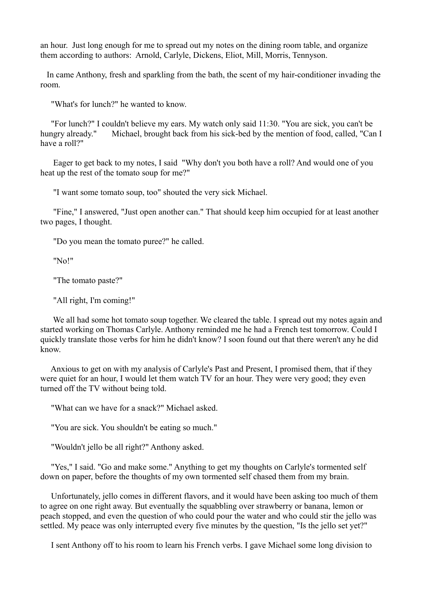an hour. Just long enough for me to spread out my notes on the dining room table, and organize them according to authors: Arnold, Carlyle, Dickens, Eliot, Mill, Morris, Tennyson.

 In came Anthony, fresh and sparkling from the bath, the scent of my hair-conditioner invading the room.

"What's for lunch?" he wanted to know.

 "For lunch?" I couldn't believe my ears. My watch only said 11:30. "You are sick, you can't be hungry already." Michael, brought back from his sick-bed by the mention of food, called, "Can I have a roll?"

 Eager to get back to my notes, I said "Why don't you both have a roll? And would one of you heat up the rest of the tomato soup for me?"

"I want some tomato soup, too" shouted the very sick Michael.

 "Fine," I answered, "Just open another can." That should keep him occupied for at least another two pages, I thought.

"Do you mean the tomato puree?" he called.

"No!"

"The tomato paste?"

"All right, I'm coming!"

 We all had some hot tomato soup together. We cleared the table. I spread out my notes again and started working on Thomas Carlyle. Anthony reminded me he had a French test tomorrow. Could I quickly translate those verbs for him he didn't know? I soon found out that there weren't any he did know.

 Anxious to get on with my analysis of Carlyle's Past and Present, I promised them, that if they were quiet for an hour, I would let them watch TV for an hour. They were very good; they even turned off the TV without being told.

"What can we have for a snack?" Michael asked.

"You are sick. You shouldn't be eating so much."

"Wouldn't jello be all right?" Anthony asked.

 "Yes," I said. "Go and make some." Anything to get my thoughts on Carlyle's tormented self down on paper, before the thoughts of my own tormented self chased them from my brain.

 Unfortunately, jello comes in different flavors, and it would have been asking too much of them to agree on one right away. But eventually the squabbling over strawberry or banana, lemon or peach stopped, and even the question of who could pour the water and who could stir the jello was settled. My peace was only interrupted every five minutes by the question. "Is the jello set yet?"

I sent Anthony off to his room to learn his French verbs. I gave Michael some long division to